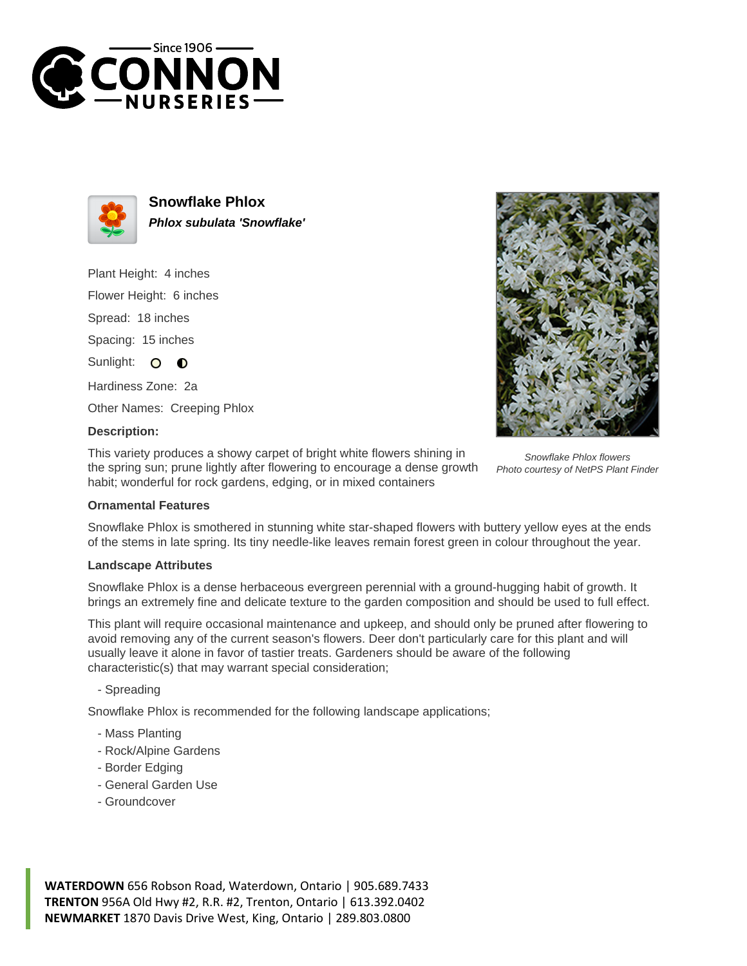



**Snowflake Phlox Phlox subulata 'Snowflake'**

Plant Height: 4 inches

Flower Height: 6 inches

Spread: 18 inches

Spacing: 15 inches

Sunlight: O  $\bullet$ 

Hardiness Zone: 2a

Other Names: Creeping Phlox

### **Description:**

This variety produces a showy carpet of bright white flowers shining in the spring sun; prune lightly after flowering to encourage a dense growth habit; wonderful for rock gardens, edging, or in mixed containers

Snowflake Phlox flowers

# Photo courtesy of NetPS Plant Finder

### **Ornamental Features**

Snowflake Phlox is smothered in stunning white star-shaped flowers with buttery yellow eyes at the ends of the stems in late spring. Its tiny needle-like leaves remain forest green in colour throughout the year.

### **Landscape Attributes**

Snowflake Phlox is a dense herbaceous evergreen perennial with a ground-hugging habit of growth. It brings an extremely fine and delicate texture to the garden composition and should be used to full effect.

This plant will require occasional maintenance and upkeep, and should only be pruned after flowering to avoid removing any of the current season's flowers. Deer don't particularly care for this plant and will usually leave it alone in favor of tastier treats. Gardeners should be aware of the following characteristic(s) that may warrant special consideration;

- Spreading

Snowflake Phlox is recommended for the following landscape applications;

- Mass Planting
- Rock/Alpine Gardens
- Border Edging
- General Garden Use
- Groundcover

**WATERDOWN** 656 Robson Road, Waterdown, Ontario | 905.689.7433 **TRENTON** 956A Old Hwy #2, R.R. #2, Trenton, Ontario | 613.392.0402 **NEWMARKET** 1870 Davis Drive West, King, Ontario | 289.803.0800